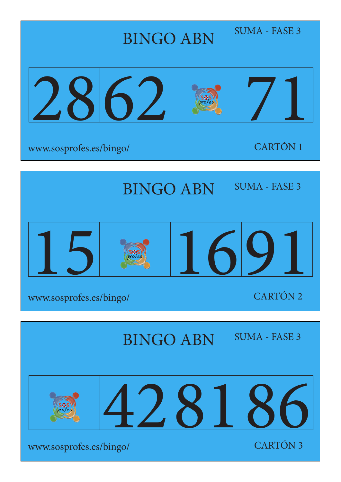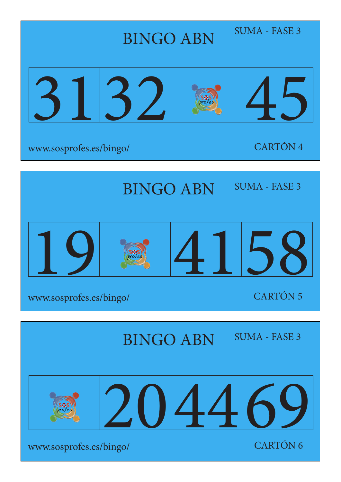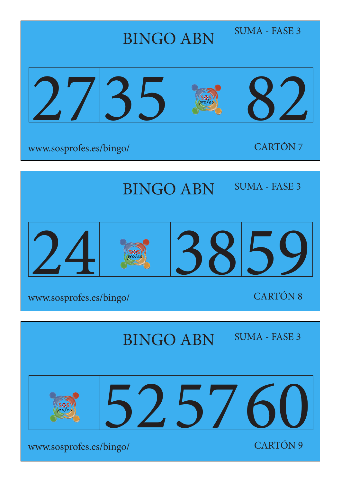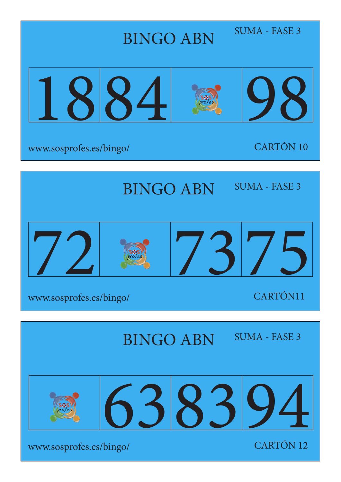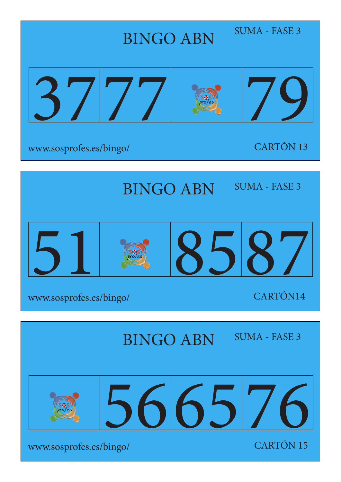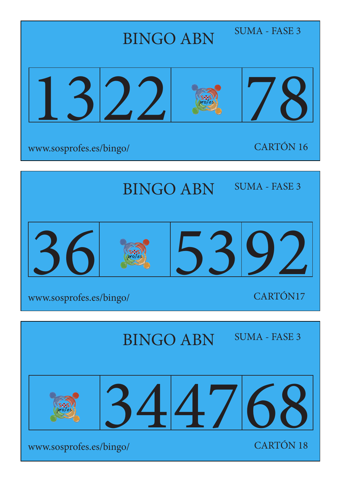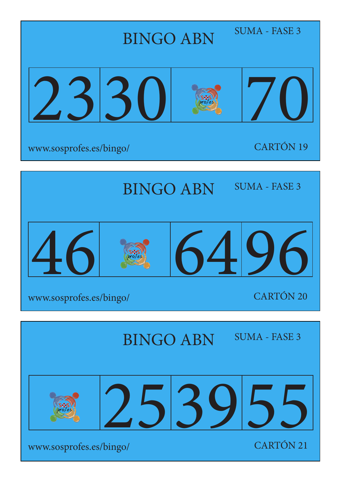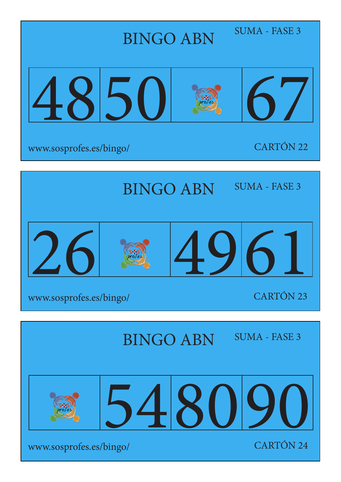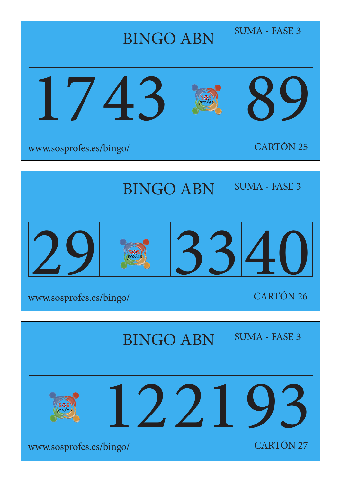